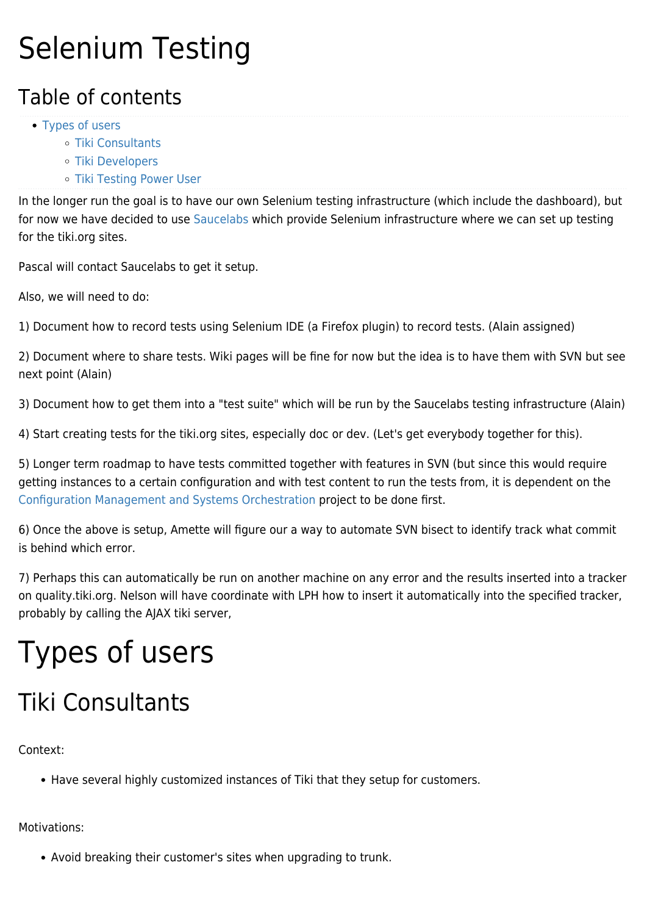# Selenium Testing

### Table of contents

- [Types of users](#page--1-0)
	- [Tiki Consultants](#page--1-0)
	- [Tiki Developers](#page--1-0)
	- o [Tiki Testing Power User](#page--1-0)

In the longer run the goal is to have our own Selenium testing infrastructure (which include the dashboard), but for now we have decided to use [Saucelabs](https://saucelabs.com/) which provide Selenium infrastructure where we can set up testing for the tiki.org sites.

Pascal will contact Saucelabs to get it setup.

Also, we will need to do:

1) Document how to record tests using Selenium IDE (a Firefox plugin) to record tests. (Alain assigned)

2) Document where to share tests. Wiki pages will be fine for now but the idea is to have them with SVN but see next point (Alain)

3) Document how to get them into a "test suite" which will be run by the Saucelabs testing infrastructure (Alain)

4) Start creating tests for the tiki.org sites, especially doc or dev. (Let's get everybody together for this).

5) Longer term roadmap to have tests committed together with features in SVN (but since this would require getting instances to a certain configuration and with test content to run the tests from, it is dependent on the [Configuration Management and Systems Orchestration](http://dev.tiki.org/Configuration%20Management%20and%20Systems%20Orchestration) project to be done first.

6) Once the above is setup, Amette will figure our a way to automate SVN bisect to identify track what commit is behind which error.

7) Perhaps this can automatically be run on another machine on any error and the results inserted into a tracker on quality.tiki.org. Nelson will have coordinate with LPH how to insert it automatically into the specified tracker, probably by calling the AJAX tiki server,

# Types of users

## Tiki Consultants

Context:

• Have several highly customized instances of Tiki that they setup for customers.

Motivations:

Avoid breaking their customer's sites when upgrading to trunk.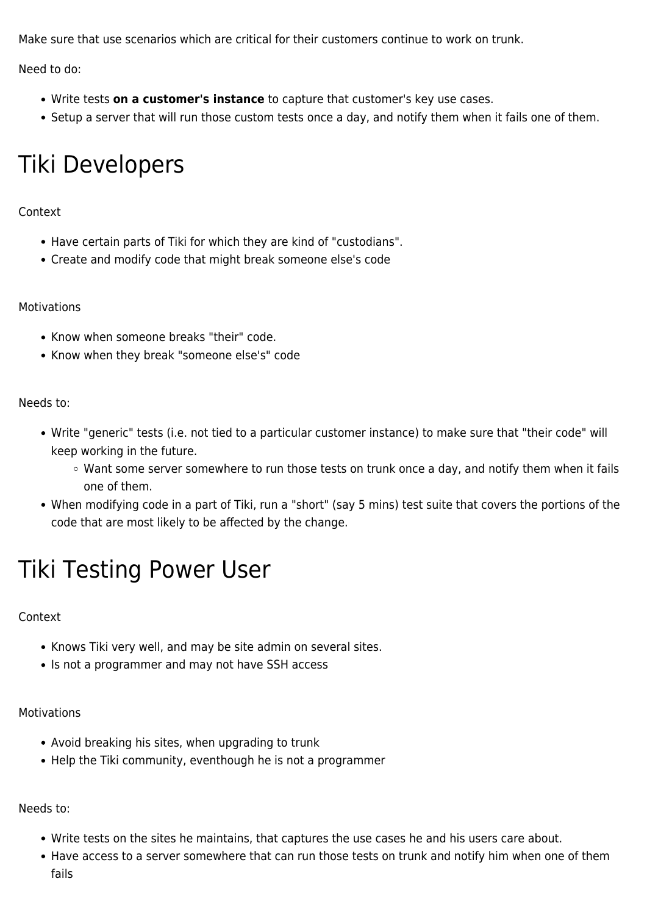Make sure that use scenarios which are critical for their customers continue to work on trunk.

Need to do:

- Write tests **on a customer's instance** to capture that customer's key use cases.
- Setup a server that will run those custom tests once a day, and notify them when it fails one of them.

## Tiki Developers

#### Context

- Have certain parts of Tiki for which they are kind of "custodians".
- Create and modify code that might break someone else's code

#### Motivations

- Know when someone breaks "their" code.
- Know when they break "someone else's" code

#### Needs to:

- Write "generic" tests (i.e. not tied to a particular customer instance) to make sure that "their code" will keep working in the future.
	- Want some server somewhere to run those tests on trunk once a day, and notify them when it fails one of them.
- When modifying code in a part of Tiki, run a "short" (say 5 mins) test suite that covers the portions of the code that are most likely to be affected by the change.

### Tiki Testing Power User

#### Context

- Knows Tiki very well, and may be site admin on several sites.
- Is not a programmer and may not have SSH access

#### Motivations

- Avoid breaking his sites, when upgrading to trunk
- Help the Tiki community, eventhough he is not a programmer

#### Needs to:

- Write tests on the sites he maintains, that captures the use cases he and his users care about.
- Have access to a server somewhere that can run those tests on trunk and notify him when one of them fails